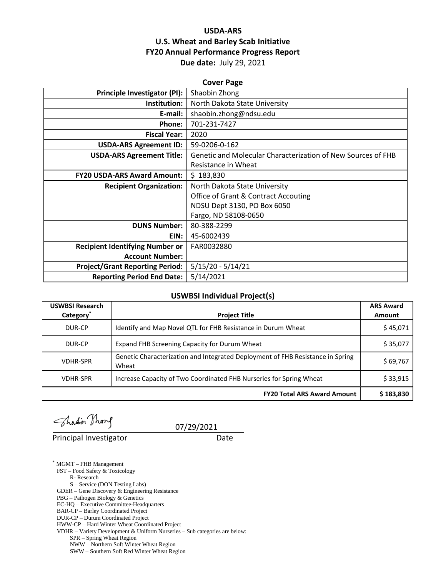# **USDA-ARS U.S. Wheat and Barley Scab Initiative FY20 Annual Performance Progress Report Due date:** July 29, 2021

| <b>Cover Page</b>                      |                                                              |  |  |
|----------------------------------------|--------------------------------------------------------------|--|--|
| Principle Investigator (PI):           | Shaobin Zhong                                                |  |  |
| Institution:                           | North Dakota State University                                |  |  |
| E-mail:                                | shaobin.zhong@ndsu.edu                                       |  |  |
| Phone:                                 | 701-231-7427                                                 |  |  |
| <b>Fiscal Year:</b>                    | 2020                                                         |  |  |
| <b>USDA-ARS Agreement ID:</b>          | 59-0206-0-162                                                |  |  |
| <b>USDA-ARS Agreement Title:</b>       | Genetic and Molecular Characterization of New Sources of FHB |  |  |
|                                        | Resistance in Wheat                                          |  |  |
| <b>FY20 USDA-ARS Award Amount:</b>     | \$183,830                                                    |  |  |
| <b>Recipient Organization:</b>         | North Dakota State University                                |  |  |
|                                        | <b>Office of Grant &amp; Contract Accouting</b>              |  |  |
|                                        | NDSU Dept 3130, PO Box 6050                                  |  |  |
|                                        | Fargo, ND 58108-0650                                         |  |  |
| <b>DUNS Number:</b>                    | 80-388-2299                                                  |  |  |
| EIN:                                   | 45-6002439                                                   |  |  |
| <b>Recipient Identifying Number or</b> | FAR0032880                                                   |  |  |
| <b>Account Number:</b>                 |                                                              |  |  |
| <b>Project/Grant Reporting Period:</b> | $5/15/20 - 5/14/21$                                          |  |  |
| <b>Reporting Period End Date:</b>      | 5/14/2021                                                    |  |  |

# **USWBSI Individual Project(s)**

| <b>USWBSI Research</b> |                                                                                         | <b>ARS Award</b> |
|------------------------|-----------------------------------------------------------------------------------------|------------------|
| Category <sup>*</sup>  | <b>Project Title</b>                                                                    | Amount           |
| DUR-CP                 | Identify and Map Novel QTL for FHB Resistance in Durum Wheat                            | \$45,071         |
| DUR-CP                 | Expand FHB Screening Capacity for Durum Wheat                                           | \$35,077         |
| <b>VDHR-SPR</b>        | Genetic Characterization and Integrated Deployment of FHB Resistance in Spring<br>Wheat | \$69,767         |
| <b>VDHR-SPR</b>        | Increase Capacity of Two Coordinated FHB Nurseries for Spring Wheat                     | \$33,915         |
|                        | <b>FY20 Total ARS Award Amount</b>                                                      | \$183,830        |

Thadin Thong

**Principal Investigator** Date

07/29/2021

\* MGMT – FHB Management

 $\overline{a}$ 

FST – Food Safety & Toxicology

R- Research

S – Service (DON Testing Labs) GDER – Gene Discovery & Engineering Resistance

PBG – Pathogen Biology & Genetics

EC-HQ – Executive Committee-Headquarters

BAR-CP – Barley Coordinated Project

DUR-CP – Durum Coordinated Project

HWW-CP – Hard Winter Wheat Coordinated Project

VDHR – Variety Development & Uniform Nurseries – Sub categories are below:

SPR – Spring Wheat Region

NWW – Northern Soft Winter Wheat Region

SWW – Southern Soft Red Winter Wheat Region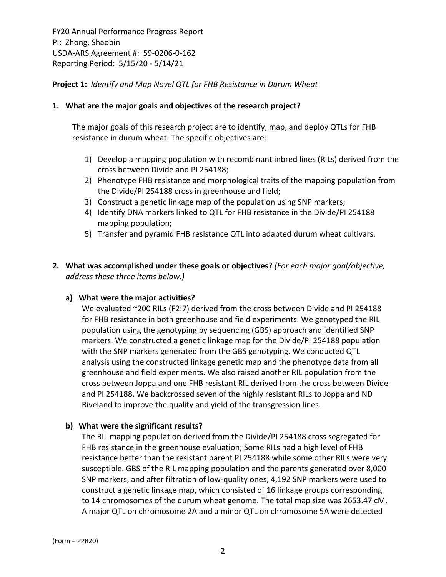**Project 1:** *Identify and Map Novel QTL for FHB Resistance in Durum Wheat*

# **1. What are the major goals and objectives of the research project?**

The major goals of this research project are to identify, map, and deploy QTLs for FHB resistance in durum wheat. The specific objectives are:

- 1) Develop a mapping population with recombinant inbred lines (RILs) derived from the cross between Divide and PI 254188;
- 2) Phenotype FHB resistance and morphological traits of the mapping population from the Divide/PI 254188 cross in greenhouse and field;
- 3) Construct a genetic linkage map of the population using SNP markers;
- 4) Identify DNA markers linked to QTL for FHB resistance in the Divide/PI 254188 mapping population;
- 5) Transfer and pyramid FHB resistance QTL into adapted durum wheat cultivars.
- **2. What was accomplished under these goals or objectives?** *(For each major goal/objective, address these three items below.)*

#### **a) What were the major activities?**

We evaluated ~200 RILs (F2:7) derived from the cross between Divide and PI 254188 for FHB resistance in both greenhouse and field experiments. We genotyped the RIL population using the genotyping by sequencing (GBS) approach and identified SNP markers. We constructed a genetic linkage map for the Divide/PI 254188 population with the SNP markers generated from the GBS genotyping. We conducted QTL analysis using the constructed linkage genetic map and the phenotype data from all greenhouse and field experiments. We also raised another RIL population from the cross between Joppa and one FHB resistant RIL derived from the cross between Divide and PI 254188. We backcrossed seven of the highly resistant RILs to Joppa and ND Riveland to improve the quality and yield of the transgression lines.

#### **b) What were the significant results?**

The RIL mapping population derived from the Divide/PI 254188 cross segregated for FHB resistance in the greenhouse evaluation; Some RILs had a high level of FHB resistance better than the resistant parent PI 254188 while some other RILs were very susceptible. GBS of the RIL mapping population and the parents generated over 8,000 SNP markers, and after filtration of low‐quality ones, 4,192 SNP markers were used to construct a genetic linkage map, which consisted of 16 linkage groups corresponding to 14 chromosomes of the durum wheat genome. The total map size was 2653.47 cM. A major QTL on chromosome 2A and a minor QTL on chromosome 5A were detected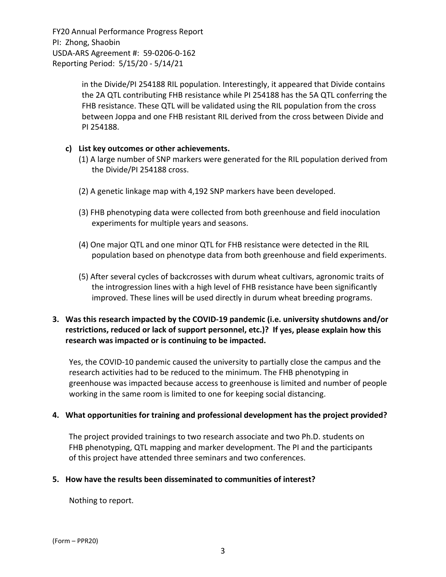> in the Divide/PI 254188 RIL population. Interestingly, it appeared that Divide contains the 2A QTL contributing FHB resistance while PI 254188 has the 5A QTL conferring the FHB resistance. These QTL will be validated using the RIL population from the cross between Joppa and one FHB resistant RIL derived from the cross between Divide and PI 254188.

# **c) List key outcomes or other achievements.**

- (1) A large number of SNP markers were generated for the RIL population derived from the Divide/PI 254188 cross.
- (2) A genetic linkage map with 4,192 SNP markers have been developed.
- (3) FHB phenotyping data were collected from both greenhouse and field inoculation experiments for multiple years and seasons.
- (4) One major QTL and one minor QTL for FHB resistance were detected in the RIL population based on phenotype data from both greenhouse and field experiments.
- (5) After several cycles of backcrosses with durum wheat cultivars, agronomic traits of the introgression lines with a high level of FHB resistance have been significantly improved. These lines will be used directly in durum wheat breeding programs.

# **3. Was this research impacted by the COVID‐19 pandemic (i.e. university shutdowns and/or restrictions, reduced or lack of support personnel, etc.)? If yes, please explain how this research was impacted or is continuing to be impacted.**

Yes, the COVID‐10 pandemic caused the university to partially close the campus and the research activities had to be reduced to the minimum. The FHB phenotyping in greenhouse was impacted because access to greenhouse is limited and number of people working in the same room is limited to one for keeping social distancing.

# **4. What opportunities for training and professional development has the project provided?**

The project provided trainings to two research associate and two Ph.D. students on FHB phenotyping, QTL mapping and marker development. The PI and the participants of this project have attended three seminars and two conferences.

# **5. How have the results been disseminated to communities of interest?**

Nothing to report.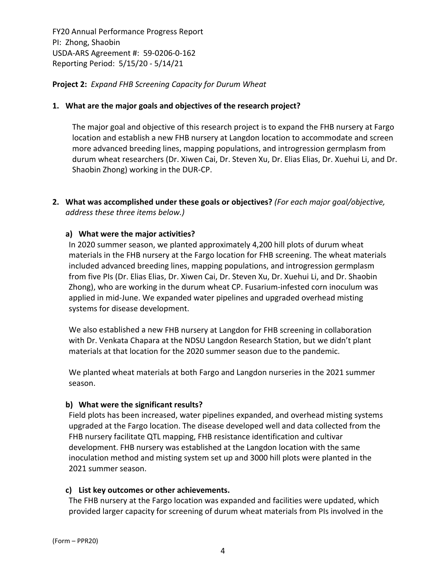**Project 2:** *Expand FHB Screening Capacity for Durum Wheat*

# **1. What are the major goals and objectives of the research project?**

The major goal and objective of this research project is to expand the FHB nursery at Fargo location and establish a new FHB nursery at Langdon location to accommodate and screen more advanced breeding lines, mapping populations, and introgression germplasm from durum wheat researchers (Dr. Xiwen Cai, Dr. Steven Xu, Dr. Elias Elias, Dr. Xuehui Li, and Dr. Shaobin Zhong) working in the DUR‐CP.

**2. What was accomplished under these goals or objectives?** *(For each major goal/objective, address these three items below.)*

# **a) What were the major activities?**

In 2020 summer season, we planted approximately 4,200 hill plots of durum wheat materials in the FHB nursery at the Fargo location for FHB screening. The wheat materials included advanced breeding lines, mapping populations, and introgression germplasm from five PIs (Dr. Elias Elias, Dr. Xiwen Cai, Dr. Steven Xu, Dr. Xuehui Li, and Dr. Shaobin Zhong), who are working in the durum wheat CP. Fusarium‐infested corn inoculum was applied in mid‐June. We expanded water pipelines and upgraded overhead misting systems for disease development.

We also established a new FHB nursery at Langdon for FHB screening in collaboration with Dr. Venkata Chapara at the NDSU Langdon Research Station, but we didn't plant materials at that location for the 2020 summer season due to the pandemic.

We planted wheat materials at both Fargo and Langdon nurseries in the 2021 summer season.

#### **b) What were the significant results?**

Field plots has been increased, water pipelines expanded, and overhead misting systems upgraded at the Fargo location. The disease developed well and data collected from the FHB nursery facilitate QTL mapping, FHB resistance identification and cultivar development. FHB nursery was established at the Langdon location with the same inoculation method and misting system set up and 3000 hill plots were planted in the 2021 summer season.

#### **c) List key outcomes or other achievements.**

The FHB nursery at the Fargo location was expanded and facilities were updated, which provided larger capacity for screening of durum wheat materials from PIs involved in the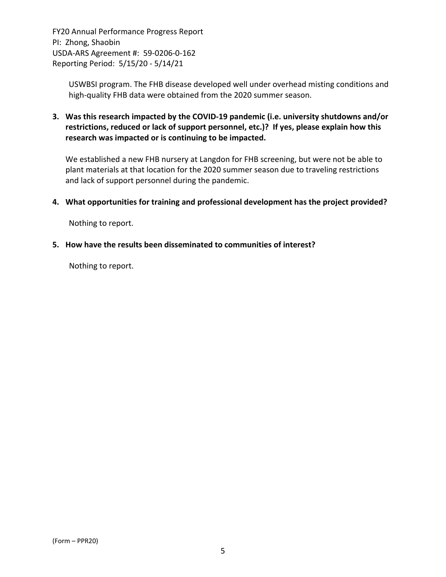> USWBSI program. The FHB disease developed well under overhead misting conditions and high-quality FHB data were obtained from the 2020 summer season.

**3. Was this research impacted by the COVID‐19 pandemic (i.e. university shutdowns and/or restrictions, reduced or lack of support personnel, etc.)? If yes, please explain how this research was impacted or is continuing to be impacted.**

We established a new FHB nursery at Langdon for FHB screening, but were not be able to plant materials at that location for the 2020 summer season due to traveling restrictions and lack of support personnel during the pandemic.

**4. What opportunities for training and professional development has the project provided?**

Nothing to report.

**5. How have the results been disseminated to communities of interest?**

Nothing to report.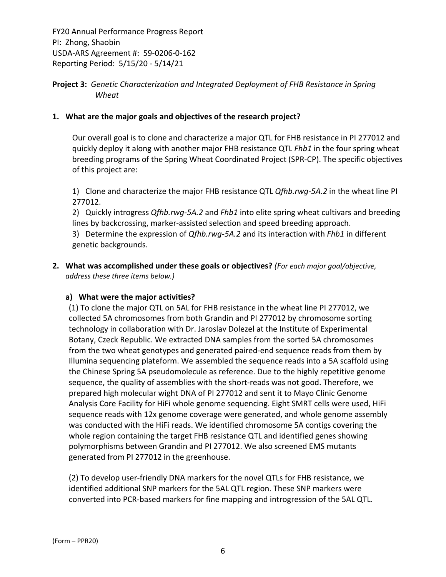**Project 3:** *Genetic Characterization and Integrated Deployment of FHB Resistance in Spring Wheat*

# **1. What are the major goals and objectives of the research project?**

Our overall goal is to clone and characterize a major QTL for FHB resistance in PI 277012 and quickly deploy it along with another major FHB resistance QTL *Fhb1* in the four spring wheat breeding programs of the Spring Wheat Coordinated Project (SPR‐CP). The specific objectives of this project are:

1) Clone and characterize the major FHB resistance QTL *Qfhb.rwg‐5A.2* in the wheat line PI 277012.

2) Quickly introgress *Qfhb.rwg-5A.2* and *Fhb1* into elite spring wheat cultivars and breeding lines by backcrossing, marker‐assisted selection and speed breeding approach.

3) Determine the expression of *Qfhb.rwg‐5A.2* and its interaction with *Fhb1* in different genetic backgrounds.

**2. What was accomplished under these goals or objectives?** *(For each major goal/objective, address these three items below.)*

# **a) What were the major activities?**

(1) To clone the major QTL on 5AL for FHB resistance in the wheat line PI 277012, we collected 5A chromosomes from both Grandin and PI 277012 by chromosome sorting technology in collaboration with Dr. Jaroslav Dolezel at the Institute of Experimental Botany, Czeck Republic. We extracted DNA samples from the sorted 5A chromosomes from the two wheat genotypes and generated paired-end sequence reads from them by Illumina sequencing plateform. We assembled the sequence reads into a 5A scaffold using the Chinese Spring 5A pseudomolecule as reference. Due to the highly repetitive genome sequence, the quality of assemblies with the short-reads was not good. Therefore, we prepared high molecular wight DNA of PI 277012 and sent it to Mayo Clinic Genome Analysis Core Facility for HiFi whole genome sequencing. Eight SMRT cells were used, HiFi sequence reads with 12x genome coverage were generated, and whole genome assembly was conducted with the HiFi reads. We identified chromosome 5A contigs covering the whole region containing the target FHB resistance QTL and identified genes showing polymorphisms between Grandin and PI 277012. We also screened EMS mutants generated from PI 277012 in the greenhouse.

(2) To develop user‐friendly DNA markers for the novel QTLs for FHB resistance, we identified additional SNP markers for the 5AL QTL region. These SNP markers were converted into PCR‐based markers for fine mapping and introgression of the 5AL QTL.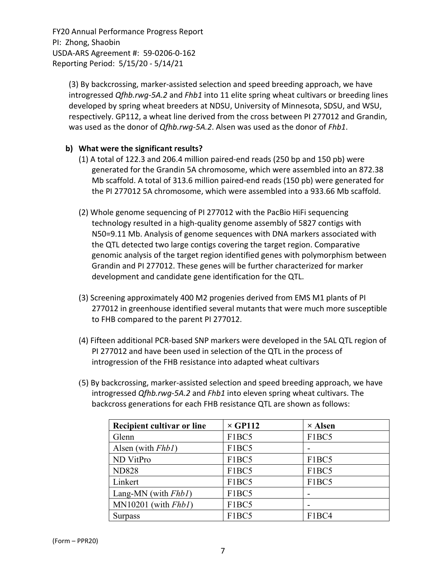> (3) By backcrossing, marker‐assisted selection and speed breeding approach, we have introgressed *Qfhb.rwg‐5A.2* and *Fhb1* into 11 elite spring wheat cultivars or breeding lines developed by spring wheat breeders at NDSU, University of Minnesota, SDSU, and WSU, respectively. GP112, a wheat line derived from the cross between PI 277012 and Grandin, was used as the donor of *Qfhb.rwg‐5A.2*. Alsen was used as the donor of *Fhb1*.

# **b) What were the significant results?**

- (1) A total of 122.3 and 206.4 million paired‐end reads (250 bp and 150 pb) were generated for the Grandin 5A chromosome, which were assembled into an 872.38 Mb scaffold. A total of 313.6 million paired‐end reads (150 pb) were generated for the PI 277012 5A chromosome, which were assembled into a 933.66 Mb scaffold.
- (2) Whole genome sequencing of PI 277012 with the PacBio HiFi sequencing technology resulted in a high‐quality genome assembly of 5827 contigs with N50=9.11 Mb. Analysis of genome sequences with DNA markers associated with the QTL detected two large contigs covering the target region. Comparative genomic analysis of the target region identified genes with polymorphism between Grandin and PI 277012. These genes will be further characterized for marker development and candidate gene identification for the QTL.
- (3) Screening approximately 400 M2 progenies derived from EMS M1 plants of PI 277012 in greenhouse identified several mutants that were much more susceptible to FHB compared to the parent PI 277012.
- (4) Fifteen additional PCR‐based SNP markers were developed in the 5AL QTL region of PI 277012 and have been used in selection of the QTL in the process of introgression of the FHB resistance into adapted wheat cultivars
- (5) By backcrossing, marker‐assisted selection and speed breeding approach, we have introgressed *Qfhb.rwg‐5A.2* and *Fhb1* into eleven spring wheat cultivars. The backcross generations for each FHB resistance QTL are shown as follows:

| Recipient cultivar or line | $\times$ GP112 | $\times$ Alsen |
|----------------------------|----------------|----------------|
| Glenn                      | F1BC5          | F1BC5          |
| Alsen (with Fhb1)          | F1BC5          |                |
| ND VitPro                  | F1BC5          | F1BC5          |
| <b>ND828</b>               | F1BC5          | F1BC5          |
| Linkert                    | F1BC5          | F1BC5          |
| Lang-MN (with $Fhbl$ )     | F1BC5          |                |
| $MN10201$ (with $Fhb1$ )   | F1BC5          |                |
| <b>Surpass</b>             | F1BC5          | F1BC4          |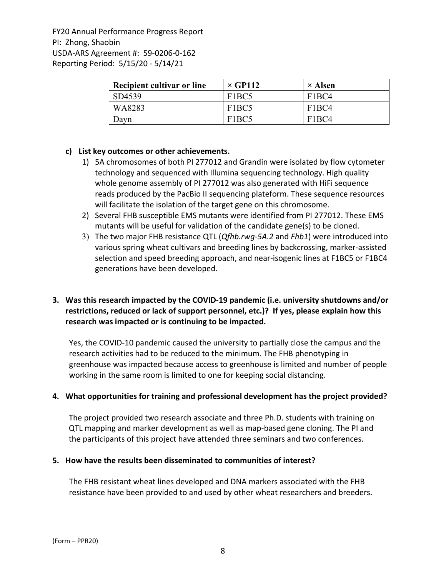| Recipient cultivar or line | $\times$ GP112                 | $\times$ Alsen                 |
|----------------------------|--------------------------------|--------------------------------|
| SD4539                     | F <sub>1</sub> BC <sub>5</sub> | F <sub>1</sub> BC <sub>4</sub> |
| WA8283                     | F <sub>1</sub> BC <sub>5</sub> | F <sub>1</sub> BC <sub>4</sub> |
| Davn                       | F <sub>1</sub> BC <sub>5</sub> | F <sub>1</sub> RC4             |

# **c) List key outcomes or other achievements.**

- 1) 5A chromosomes of both PI 277012 and Grandin were isolated by flow cytometer technology and sequenced with Illumina sequencing technology. High quality whole genome assembly of PI 277012 was also generated with HiFi sequence reads produced by the PacBio II sequencing plateform. These sequence resources will facilitate the isolation of the target gene on this chromosome.
- 2) Several FHB susceptible EMS mutants were identified from PI 277012. These EMS mutants will be useful for validation of the candidate gene(s) to be cloned.
- 3) The two major FHB resistance QTL (*Qfhb.rwg‐5A.2* and *Fhb1*) were introduced into various spring wheat cultivars and breeding lines by backcrossing, marker‐assisted selection and speed breeding approach, and near‐isogenic lines at F1BC5 or F1BC4 generations have been developed.

# **3. Was this research impacted by the COVID‐19 pandemic (i.e. university shutdowns and/or restrictions, reduced or lack of support personnel, etc.)? If yes, please explain how this research was impacted or is continuing to be impacted.**

Yes, the COVID‐10 pandemic caused the university to partially close the campus and the research activities had to be reduced to the minimum. The FHB phenotyping in greenhouse was impacted because access to greenhouse is limited and number of people working in the same room is limited to one for keeping social distancing.

#### **4. What opportunities for training and professional development has the project provided?**

The project provided two research associate and three Ph.D. students with training on QTL mapping and marker development as well as map‐based gene cloning. The PI and the participants of this project have attended three seminars and two conferences.

#### **5. How have the results been disseminated to communities of interest?**

The FHB resistant wheat lines developed and DNA markers associated with the FHB resistance have been provided to and used by other wheat researchers and breeders.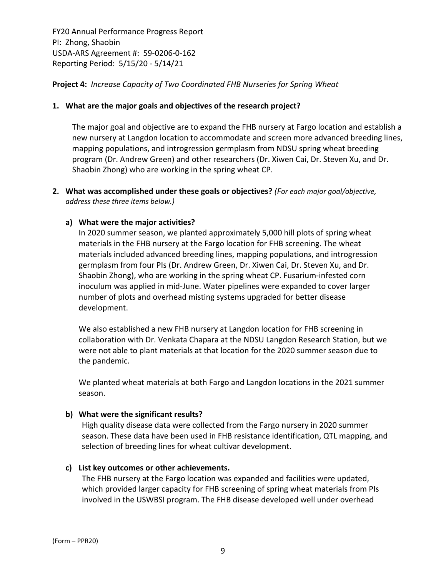# **Project 4:** *Increase Capacity of Two Coordinated FHB Nurseries for Spring Wheat*

#### **1. What are the major goals and objectives of the research project?**

The major goal and objective are to expand the FHB nursery at Fargo location and establish a new nursery at Langdon location to accommodate and screen more advanced breeding lines, mapping populations, and introgression germplasm from NDSU spring wheat breeding program (Dr. Andrew Green) and other researchers (Dr. Xiwen Cai, Dr. Steven Xu, and Dr. Shaobin Zhong) who are working in the spring wheat CP.

**2. What was accomplished under these goals or objectives?** *(For each major goal/objective, address these three items below.)*

#### **a) What were the major activities?**

In 2020 summer season, we planted approximately 5,000 hill plots of spring wheat materials in the FHB nursery at the Fargo location for FHB screening. The wheat materials included advanced breeding lines, mapping populations, and introgression germplasm from four PIs (Dr. Andrew Green, Dr. Xiwen Cai, Dr. Steven Xu, and Dr. Shaobin Zhong), who are working in the spring wheat CP. Fusarium‐infested corn inoculum was applied in mid‐June. Water pipelines were expanded to cover larger number of plots and overhead misting systems upgraded for better disease development.

We also established a new FHB nursery at Langdon location for FHB screening in collaboration with Dr. Venkata Chapara at the NDSU Langdon Research Station, but we were not able to plant materials at that location for the 2020 summer season due to the pandemic.

We planted wheat materials at both Fargo and Langdon locations in the 2021 summer season.

#### **b) What were the significant results?**

High quality disease data were collected from the Fargo nursery in 2020 summer season. These data have been used in FHB resistance identification, QTL mapping, and selection of breeding lines for wheat cultivar development.

#### **c) List key outcomes or other achievements.**

The FHB nursery at the Fargo location was expanded and facilities were updated, which provided larger capacity for FHB screening of spring wheat materials from PIs involved in the USWBSI program. The FHB disease developed well under overhead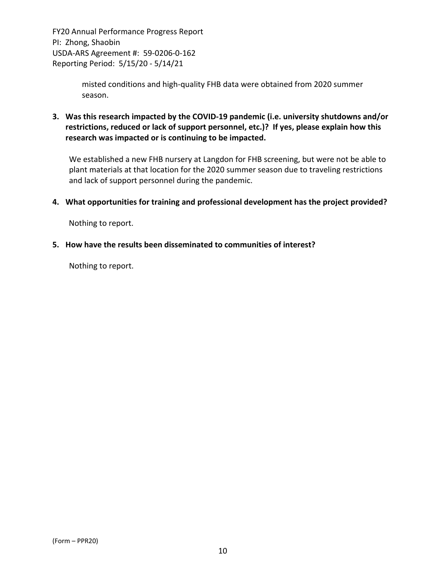> misted conditions and high‐quality FHB data were obtained from 2020 summer season.

**3. Was this research impacted by the COVID‐19 pandemic (i.e. university shutdowns and/or restrictions, reduced or lack of support personnel, etc.)? If yes, please explain how this research was impacted or is continuing to be impacted.**

We established a new FHB nursery at Langdon for FHB screening, but were not be able to plant materials at that location for the 2020 summer season due to traveling restrictions and lack of support personnel during the pandemic.

**4. What opportunities for training and professional development has the project provided?**

Nothing to report.

**5. How have the results been disseminated to communities of interest?**

Nothing to report.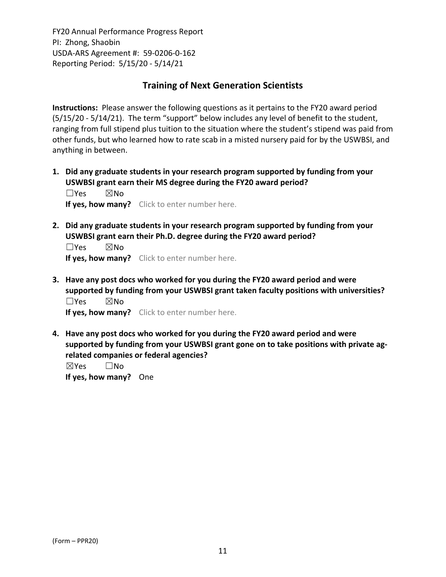# **Training of Next Generation Scientists**

**Instructions:** Please answer the following questions as it pertains to the FY20 award period (5/15/20 ‐ 5/14/21). The term "support" below includes any level of benefit to the student, ranging from full stipend plus tuition to the situation where the student's stipend was paid from other funds, but who learned how to rate scab in a misted nursery paid for by the USWBSI, and anything in between.

**1. Did any graduate students in your research program supported by funding from your USWBSI grant earn their MS degree during the FY20 award period?** ☐Yes ☒No

**If yes, how many?** Click to enter number here.

**2. Did any graduate students in your research program supported by funding from your USWBSI grant earn their Ph.D. degree during the FY20 award period?**

 $\square$ Yes  $\square$ No **If yes, how many?** Click to enter number here.

**3. Have any post docs who worked for you during the FY20 award period and were supported by funding from your USWBSI grant taken faculty positions with universities?** ☐Yes ☒No

**If yes, how many?** Click to enter number here.

**4. Have any post docs who worked for you during the FY20 award period and were supported by funding from your USWBSI grant gone on to take positions with private ag‐ related companies or federal agencies?**

☒Yes ☐No **If yes, how many?** One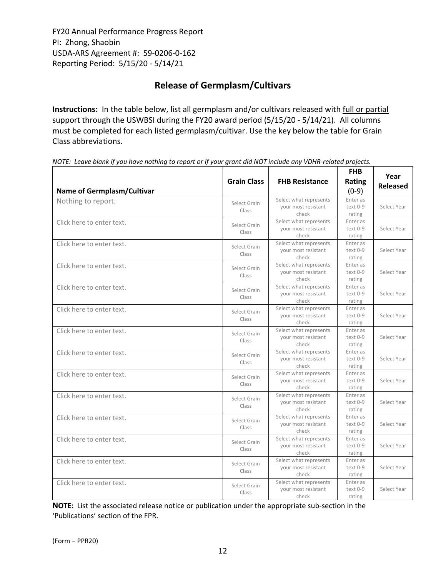# **Release of Germplasm/Cultivars**

**Instructions:** In the table below, list all germplasm and/or cultivars released with full or partial support through the USWBSI during the FY20 award period (5/15/20 - 5/14/21). All columns must be completed for each listed germplasm/cultivar. Use the key below the table for Grain Class abbreviations. 

| <b>Name of Germplasm/Cultivar</b> | <b>Grain Class</b>    | <b>FHB Resistance</b>                                  | <b>FHB</b><br>Rating<br>$(0-9)$  | Year<br><b>Released</b> |
|-----------------------------------|-----------------------|--------------------------------------------------------|----------------------------------|-------------------------|
| Nothing to report.                | Select Grain<br>Class | Select what represents<br>your most resistant<br>check | Enter as<br>$text 0-9$<br>rating | Select Year             |
| Click here to enter text.         | Select Grain<br>Class | Select what represents<br>your most resistant<br>check | Enter as<br>text 0-9<br>rating   | Select Year             |
| Click here to enter text.         | Select Grain<br>Class | Select what represents<br>your most resistant<br>check | Enter as<br>text 0-9<br>rating   | Select Year             |
| Click here to enter text.         | Select Grain<br>Class | Select what represents<br>your most resistant<br>check | Enter as<br>text 0-9<br>rating   | Select Year             |
| Click here to enter text.         | Select Grain<br>Class | Select what represents<br>your most resistant<br>check | Enter as<br>text 0-9<br>rating   | Select Year             |
| Click here to enter text.         | Select Grain<br>Class | Select what represents<br>your most resistant<br>check | Enter as<br>text 0-9<br>rating   | Select Year             |
| Click here to enter text.         | Select Grain<br>Class | Select what represents<br>your most resistant<br>check | Enter as<br>text 0-9<br>rating   | Select Year             |
| Click here to enter text.         | Select Grain<br>Class | Select what represents<br>your most resistant<br>check | Enter as<br>text 0-9<br>rating   | Select Year             |
| Click here to enter text.         | Select Grain<br>Class | Select what represents<br>your most resistant<br>check | Enter as<br>text 0-9<br>rating   | Select Year             |
| Click here to enter text.         | Select Grain<br>Class | Select what represents<br>your most resistant<br>check | Enter as<br>text 0-9<br>rating   | Select Year             |
| Click here to enter text.         | Select Grain<br>Class | Select what represents<br>your most resistant<br>check | Enter as<br>text 0-9<br>rating   | Select Year             |
| Click here to enter text.         | Select Grain<br>Class | Select what represents<br>your most resistant<br>check | Enter as<br>text 0-9<br>rating   | Select Year             |
| Click here to enter text.         | Select Grain<br>Class | Select what represents<br>your most resistant<br>check | Enter as<br>text 0-9<br>rating   | Select Year             |
| Click here to enter text.         | Select Grain<br>Class | Select what represents<br>your most resistant<br>check | Enter as<br>text 0-9<br>rating   | Select Year             |

NOTE: Leave blank if you have nothing to report or if your grant did NOT include any VDHR-related projects.

**NOTE:** List the associated release notice or publication under the appropriate sub-section in the 'Publications' section of the FPR.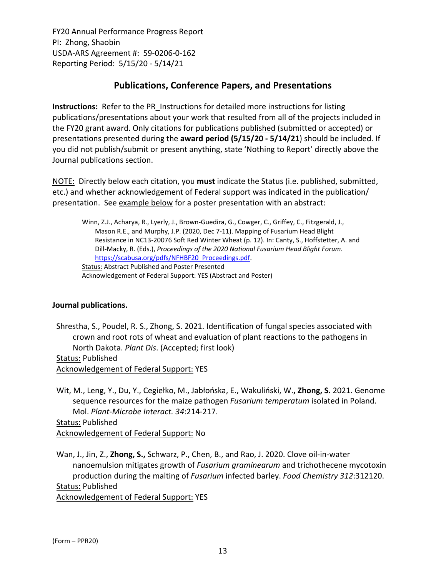# **Publications, Conference Papers, and Presentations**

**Instructions:** Refer to the PR\_Instructions for detailed more instructions for listing publications/presentations about your work that resulted from all of the projects included in the FY20 grant award. Only citations for publications published (submitted or accepted) or presentations presented during the **award period (5/15/20 ‐ 5/14/21**) should be included. If you did not publish/submit or present anything, state 'Nothing to Report' directly above the Journal publications section.

NOTE: Directly below each citation, you **must** indicate the Status (i.e. published, submitted, etc.) and whether acknowledgement of Federal support was indicated in the publication/ presentation. See example below for a poster presentation with an abstract:

Winn, Z.J., Acharya, R., Lyerly, J., Brown‐Guedira, G., Cowger, C., Griffey, C., Fitzgerald, J., Mason R.E., and Murphy, J.P. (2020, Dec 7‐11). Mapping of Fusarium Head Blight Resistance in NC13‐20076 Soft Red Winter Wheat (p. 12). In: Canty, S., Hoffstetter, A. and Dill‐Macky, R. (Eds.), *Proceedings of the 2020 National [Fusarium](https://scabusa.org/pdfs/NFHBF20_Proceedings.pdf) Head Blight Forum*. https://scabusa.org/pdfs/NFHBF20\_Proceedings.pdf. Status: Abstract Published and Poster Presented Acknowledgement of Federal Support: YES (Abstract and Poster)

# **Journal publications.**

Shrestha, S., Poudel, R. S., Zhong, S. 2021. Identification of fungal species associated with crown and root rots of wheat and evaluation of plant reactions to the pathogens in North Dakota. *Plant Dis*. (Accepted; first look) Status: Published

Acknowledgement of Federal Support: YES

Wit, M., Leng, Y., Du, Y., Cegiełko, M., Jabłońska, E., Wakuliński, W.**, Zhong, S.** 2021. Genome sequence resources for the maize pathogen *Fusarium temperatum* isolated in Poland. Mol. *Plant‐Microbe Interact. 34*:214‐217.

Status: Published Acknowledgement of Federal Support: No

Wan, J., Jin, Z., **Zhong, S.,** Schwarz, P., Chen, B., and Rao, J. 2020. Clove oil‐in‐water nanoemulsion mitigates growth of *Fusarium graminearum* and trichothecene mycotoxin production during the malting of *Fusarium* infected barley. *Food Chemistry 312*:312120. Status: Published

Acknowledgement of Federal Support: YES